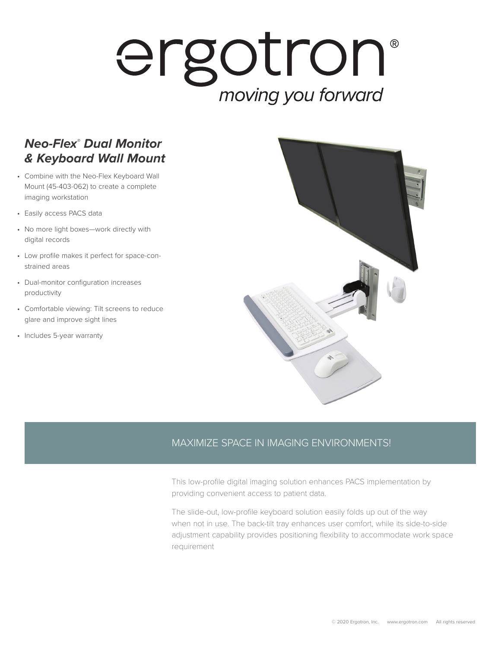## ergotron® moving you forward

## *Neo-Flex® Dual Monitor & Keyboard Wall Mount*

- Combine with the Neo-Flex Keyboard Wall Mount (45-403-062) to create a complete imaging workstation
- Easily access PACS data
- No more light boxes—work directly with digital records
- Low profile makes it perfect for space-constrained areas
- Dual-monitor configuration increases productivity
- Comfortable viewing: Tilt screens to reduce glare and improve sight lines
- Includes 5-year warranty



## MAXIMIZE SPACE IN IMAGING ENVIRONMENTS!

This low-profile digital imaging solution enhances PACS implementation by providing convenient access to patient data.

The slide-out, low-profile keyboard solution easily folds up out of the way when not in use. The back-tilt tray enhances user comfort, while its side-to-side adjustment capability provides positioning flexibility to accommodate work space requirement